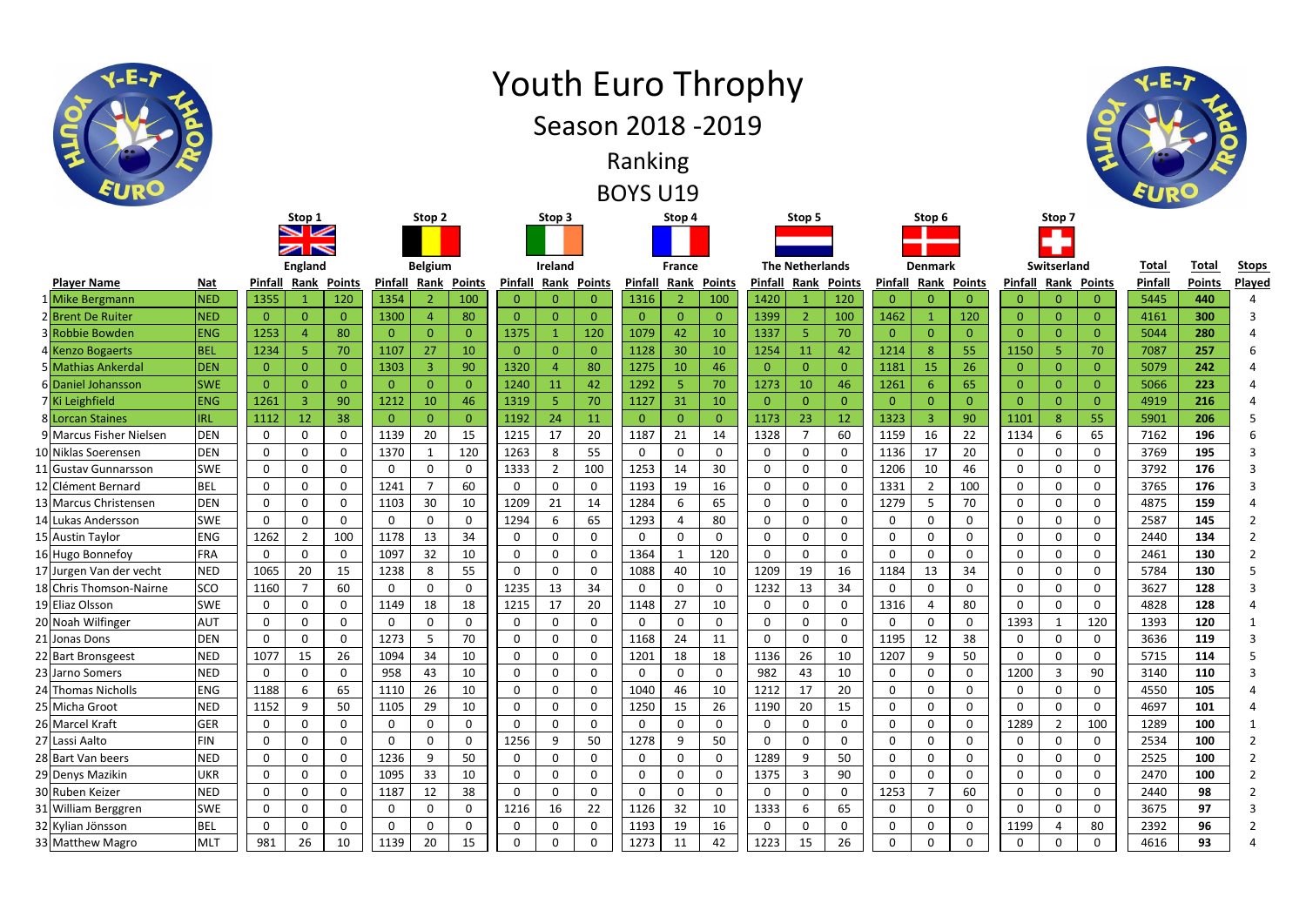|                         |            |         | England |                 |         | <b>Belgium</b> |               |                | <b>Ireland</b> |               |         | <b>France</b>   |                |         | <b>The Netherlands</b> |               | <b>Denmark</b> |             |               |    |
|-------------------------|------------|---------|---------|-----------------|---------|----------------|---------------|----------------|----------------|---------------|---------|-----------------|----------------|---------|------------------------|---------------|----------------|-------------|---------------|----|
| <b>Player Name</b>      | <u>Nat</u> | Pinfall | Rank    | <b>Points</b>   | Pinfall | Rank           | <b>Points</b> | <b>Pinfall</b> | <b>Rank</b>    | <b>Points</b> | Pinfall | Rank            | <b>Points</b>  | Pinfall | <b>Rank</b>            | <b>Points</b> | Pinfall        | <b>Rank</b> | <b>Points</b> | Pi |
| 1 Mike Bergmann         | <b>NED</b> | 1355    |         | 120             | 1354    |                | 100           | U              |                | 0             | 1316    |                 | 100            | 1420    |                        | 120           |                |             |               |    |
| 2 Brent De Ruiter       | <b>NED</b> |         |         |                 | 1300    |                | 80            |                |                |               |         |                 | $\mathbf{0}$   | 1399    |                        | 100           | 1462           |             | 120           |    |
| 3 Robbie Bowden         | <b>ENG</b> | 1253    |         | 80              |         |                |               | 1375           |                | 120           | 1079    | 42              | 10             | 1337    |                        | 70            |                |             |               |    |
| 4 Kenzo Bogaerts        | <b>BEL</b> | 1234    |         | 70 <sup>1</sup> | 1107    | 27             | 10            |                |                | 0             | 1128    | 30 <sup>°</sup> | 10             | 1254    |                        | 42            | 1214           | Ō.          | 55            |    |
| 5 Mathias Ankerdal      | <b>DEN</b> |         |         |                 | 1303    |                | 90            | 1320           | д              | 80            | 1275    | 10 <sup>°</sup> | 46             |         |                        |               | 1181           | 15          | 26            |    |
| 6 Daniel Johansson      | <b>SWE</b> |         |         |                 |         |                |               | 1240           | 11             | 42            | 1292    |                 | 70             | 1273    | 10                     | 46            | 1261           | 6           | 65            |    |
| 7 Ki Leighfield         | <b>ENG</b> | 1261    |         | 90              | 1212    | 10             | 46            | 1319           |                | 70            | 1127    | 31              | 10             |         |                        |               |                |             | 0.            |    |
| 8 Lorcan Staines        | <b>IRL</b> | 1112    | 12      | 38              |         |                |               | 1192           | 24             | 11            |         |                 | $\overline{0}$ | 1173    | 23                     | 12            | 1323           |             | 90            |    |
| 9 Marcus Fisher Nielsen | <b>DEN</b> |         |         |                 | 1139    | 20             | 15            | 1215           | 17             | 20            | 1187    | 21              | 14             | 1328    |                        | 60            | 1159           | 16          | 22            |    |
|                         |            |         |         |                 |         |                |               |                |                |               |         |                 |                |         |                        |               |                |             |               |    |

| יייישיים שטוייין         | .          | ----           | <b>Service Contracts</b> | ----           | ---          |                | $  -$          |                |                |                | ----           |                | $  -$          | - - -          |                | ----           |                |                | --             | --             |                | - - -          | - -  | --- |  |
|--------------------------|------------|----------------|--------------------------|----------------|--------------|----------------|----------------|----------------|----------------|----------------|----------------|----------------|----------------|----------------|----------------|----------------|----------------|----------------|----------------|----------------|----------------|----------------|------|-----|--|
| 2 Brent De Ruiter        | <b>NED</b> | $\overline{0}$ | $\overline{0}$           | $\overline{0}$ | 1300         | $\overline{4}$ | 80             | $\overline{0}$ | $\Omega$       | $\overline{0}$ | $\overline{0}$ | $\overline{0}$ | $\mathbf{0}$   | 1399           | $\overline{2}$ | 100            | 1462           |                | 120            | $\overline{0}$ | $\Omega$       | $\overline{0}$ | 4161 | 300 |  |
| 3 Robbie Bowden          | <b>ENG</b> | 1253           |                          | 80             | $\Omega$     | $\mathbf{0}$   | $\overline{0}$ | 1375           |                | 120            | 1079           | 42             | 10             | 1337           | 5 <sup>1</sup> | 70             | $\overline{0}$ | $\Omega$       | $\overline{0}$ | $\overline{0}$ | $\Omega$       | $\overline{0}$ | 5044 | 280 |  |
| 4 Kenzo Bogaerts         | <b>BEL</b> | 1234           | 5                        | 70             | 1107         | 27             | 10             | $\overline{0}$ | $\Omega$       | $\overline{0}$ | 1128           | 30             | 10             | 1254           | 11             | 42             | 1214           | 8              | 55             | 1150           | 5              | 70             | 7087 | 257 |  |
| 5 Mathias Ankerdal       | <b>DEN</b> | $\overline{0}$ | $\overline{0}$           | $\Omega$       | 1303         | $\overline{3}$ | 90             | 1320           |                | 80             | 1275           | 10             | 46             | $\overline{0}$ | $\overline{0}$ | $\overline{0}$ | 1181           | 15             | 26             | $\overline{0}$ | $\Omega$       | $\overline{0}$ | 5079 | 242 |  |
| 6 Daniel Johansson       | <b>SWE</b> | $\overline{0}$ | $\overline{0}$           | $\Omega$       | $\mathbf{0}$ | $\overline{0}$ | $\overline{0}$ | 1240           | <b>11</b>      | 42             | 1292           | -5             | 70             | 1273           | 10             | 46             | 1261           |                | 65             | $\overline{0}$ | $\Omega$       | $\overline{0}$ | 5066 | 223 |  |
| 7Ki Leighfield           | <b>ENG</b> | 1261           | $\overline{\mathbf{3}}$  | 90             | 1212         | 10             | 46             | 1319           | 5              | 70             | 1127           | 31             | 10             | $\overline{0}$ | $\overline{0}$ | $\mathbf{0}$   | $\overline{0}$ | $\Omega$       | $\overline{0}$ | $\overline{0}$ | $\Omega$       | $\overline{0}$ | 4919 | 216 |  |
| 8 Lorcan Staines         | <b>IRL</b> | 1112           | 12                       | 38             | $\Omega$     | $\overline{0}$ | $\overline{0}$ | 1192           | 24             | 11             | $\overline{0}$ | $\overline{0}$ | $\overline{0}$ | 1173           | 23             | 12             | 1323           | $\overline{3}$ | 90             | 1101           | 8              | 55             | 5901 | 206 |  |
| 9 Marcus Fisher Nielsen  | <b>DEN</b> | $\mathbf 0$    | $\mathbf 0$              | $\mathbf 0$    | 1139         | 20             | 15             | 1215           | 17             | 20             | 1187           | 21             | 14             | 1328           | $\overline{7}$ | 60             | 1159           | 16             | 22             | 1134           | 6              | 65             | 7162 | 196 |  |
| 10 Niklas Soerensen      | <b>DEN</b> | $\mathbf 0$    | $\mathbf 0$              | $\mathbf 0$    | 1370         | $\mathbf{1}$   | 120            | 1263           | 8              | 55             | $\mathbf 0$    | $\mathbf 0$    | $\mathbf 0$    | $\mathbf 0$    | $\mathbf 0$    | $\mathbf 0$    | 1136           | 17             | 20             | $\mathbf 0$    | $\mathbf 0$    | $\mathbf 0$    | 3769 | 195 |  |
| <b>Gustav Gunnarsson</b> | <b>SWE</b> | $\mathbf 0$    | $\mathbf 0$              | $\Omega$       | $\Omega$     | $\mathbf{0}$   | $\mathbf 0$    | 1333           | $\overline{2}$ | 100            | 1253           | 14             | 30             | $\mathbf 0$    | $\mathbf 0$    | $\mathbf 0$    | 1206           | 10             | 46             | $\mathbf 0$    | $\mathbf 0$    | $\mathbf 0$    | 3792 | 176 |  |
| 12 Clément Bernard       | <b>BEL</b> | $\mathbf 0$    | $\mathbf 0$              | $\mathbf 0$    | 1241         | $\overline{7}$ | 60             | $\mathbf 0$    | $\mathbf 0$    | $\mathbf 0$    | 1193           | 19             | 16             | $\mathbf 0$    | $\mathbf 0$    | $\mathbf 0$    | 1331           | $\overline{2}$ | 100            | $\mathbf 0$    | 0              | $\mathbf 0$    | 3765 | 176 |  |
| 13 Marcus Christensen    | <b>DEN</b> | $\mathbf 0$    | $\mathbf 0$              | 0              | 1103         | 30             | 10             | 1209           | 21             | 14             | 1284           | 6              | 65             | $\mathbf 0$    | $\mathbf 0$    | $\mathbf 0$    | 1279           |                | 70             | $\mathbf 0$    | $\Omega$       | $\mathbf 0$    | 4875 | 159 |  |
| 14 Lukas Andersson       | <b>SWE</b> | $\mathbf{0}$   | $\mathbf 0$              | 0              | $\mathbf{0}$ | $\mathbf 0$    | $\mathbf 0$    | 1294           | 6              | 65             | 1293           | $\overline{4}$ | 80             | $\mathbf 0$    | $\mathbf 0$    | $\mathbf 0$    | 0              | $\Omega$       | $\mathbf 0$    | $\mathbf 0$    | $\mathbf 0$    | $\mathbf 0$    | 2587 | 145 |  |
| 15 Austin Taylor         | <b>ENG</b> | 1262           | $\overline{2}$           | 100            | 1178         | 13             | 34             | $\mathbf 0$    | $\Omega$       | $\mathbf 0$    | $\mathbf 0$    | $\Omega$       | $\mathbf 0$    | 0              | $\mathbf 0$    | $\mathbf 0$    | 0              | $\Omega$       | 0              | $\mathbf 0$    | 0              | $\mathbf 0$    | 2440 | 134 |  |
| 16 Hugo Bonnefoy         | <b>FRA</b> | $\mathbf{0}$   | $\mathbf 0$              | $\Omega$       | 1097         | 32             | 10             | $\mathbf 0$    | $\Omega$       | $\mathbf 0$    | 1364           | $\mathbf{1}$   | 120            | $\mathbf 0$    | $\mathbf 0$    | $\mathbf 0$    | 0              | $\Omega$       | $\mathbf{0}$   | $\mathbf 0$    | $\Omega$       | $\mathbf 0$    | 2461 | 130 |  |
| 17 Jurgen Van der vecht  | <b>NED</b> | 1065           | 20                       | 15             | 1238         | 8              | 55             | $\mathbf 0$    | $\mathbf{0}$   | $\mathbf 0$    | 1088           | 40             | 10             | 1209           | 19             | 16             | 1184           | 13             | 34             | $\mathbf 0$    | $\mathbf 0$    | $\mathbf 0$    | 5784 | 130 |  |
| 18 Chris Thomson-Nairne  | <b>SCO</b> | 1160           | $\overline{7}$           | 60             | 0            | $\mathbf{0}$   | $\mathbf 0$    | 1235           | 13             | 34             | $\mathbf 0$    | $\mathbf 0$    | $\mathbf 0$    | 1232           | 13             | 34             | 0              | $\Omega$       | $\Omega$       | $\mathbf 0$    | $\Omega$       | $\mathbf 0$    | 3627 | 128 |  |
| 19 Eliaz Olsson          | <b>SWE</b> | 0              | $\mathbf 0$              | $\Omega$       | 1149         | 18             | 18             | 1215           | 17             | 20             | 1148           | 27             | 10             | 0              | $\mathbf 0$    | $\mathbf 0$    | 1316           |                | 80             | $\mathbf 0$    | $\Omega$       | 0              | 4828 | 128 |  |
| 20 Noah Wilfinger        | <b>AUT</b> | $\mathbf 0$    | $\mathbf 0$              | 0              | $\mathbf{0}$ | $\mathbf 0$    | $\mathbf 0$    | $\mathbf 0$    | $\mathbf 0$    | $\mathbf 0$    | $\mathbf 0$    | $\mathbf 0$    | $\mathbf 0$    | $\mathbf 0$    | $\mathbf 0$    | $\mathbf 0$    | 0              | $\Omega$       | $\mathbf 0$    | 1393           | -1             | 120            | 1393 | 120 |  |
| 21 Jonas Dons            | <b>DEN</b> | $\mathbf 0$    | $\mathbf 0$              | $\Omega$       | 1273         | 5              | 70             | $\mathbf 0$    | $\Omega$       | $\mathbf 0$    | 1168           | 24             | 11             | $\mathbf 0$    | $\mathbf 0$    | $\mathbf 0$    | 1195           | 12             | 38             | $\mathbf 0$    | $\Omega$       | $\mathbf 0$    | 3636 | 119 |  |
| 22 Bart Bronsgeest       | <b>NED</b> | 1077           | 15                       | 26             | 1094         | 34             | 10             | $\mathbf 0$    | $\Omega$       | $\mathbf 0$    | 1201           | 18             | 18             | 1136           | 26             | 10             | 1207           | 9              | 50             | $\mathbf 0$    | $\Omega$       | $\mathbf 0$    | 5715 | 114 |  |
| 23 Jarno Somers          | <b>NED</b> | $\mathbf{0}$   | $\mathbf 0$              | 0              | 958          | 43             | 10             | $\mathbf 0$    | $\mathbf 0$    | $\mathbf 0$    | $\mathbf 0$    | $\Omega$       | $\mathbf{0}$   | 982            | 43             | 10             | $\mathbf{0}$   | 0              | $\mathbf 0$    | 1200           | $\overline{3}$ | 90             | 3140 | 110 |  |
| 24 Thomas Nicholls       | <b>ENG</b> | 1188           | 6                        | 65             | 1110         | 26             | 10             | $\mathbf 0$    | $\mathbf{0}$   | $\mathbf 0$    | 1040           | 46             | 10             | 1212           | 17             | 20             | $\mathbf 0$    | $\Omega$       | $\mathbf{0}$   | $\mathbf 0$    | $\Omega$       | $\mathbf 0$    | 4550 | 105 |  |
| 25 Micha Groot           | <b>NED</b> | 1152           | 9                        | 50             | 1105         | 29             | 10             | $\mathbf 0$    | $\Omega$       | $\mathbf 0$    | 1250           | 15             | 26             | 1190           | 20             | 15             | 0              |                | $\mathbf 0$    | $\mathbf 0$    | $\Omega$       | $\mathbf 0$    | 4697 | 101 |  |
| 26 Marcel Kraft          | <b>GER</b> | $\mathbf{0}$   | $\mathbf 0$              | 0              | $\mathbf{0}$ | 0              | 0              | $\mathbf 0$    | $\mathbf{0}$   | $\mathbf 0$    | $\mathbf 0$    | <sup>0</sup>   | $\mathbf{0}$   | $\mathbf 0$    | $\mathbf 0$    | $\mathbf 0$    | $\mathbf{0}$   | $\mathbf{0}$   | 0              | 1289           | $\overline{2}$ | 100            | 1289 | 100 |  |
| 27 Lassi Aalto           | <b>FIN</b> | $\mathbf 0$    | $\mathbf 0$              | 0              | $\Omega$     | $\mathbf{0}$   | $\mathbf 0$    | 1256           | 9              | 50             | 1278           | 9              | 50             | $\mathbf 0$    | $\mathbf 0$    | $\mathbf 0$    | 0              | $\Omega$       | $\mathbf{0}$   | $\mathbf 0$    | $\Omega$       | $\mathbf 0$    | 2534 | 100 |  |
| 28 Bart Van beers        | <b>NED</b> | $\mathbf{0}$   | $\mathbf 0$              | $\Omega$       | 1236         | 9              | 50             | $\mathbf 0$    | $\Omega$       | $\mathbf 0$    | $\mathbf 0$    | $\mathbf 0$    | $\mathbf 0$    | 1289           | 9              | 50             | 0              | $\Omega$       | $\mathbf 0$    | $\mathbf 0$    | $\mathbf 0$    | $\mathbf 0$    | 2525 | 100 |  |
| 29 Denys Mazikin         | <b>UKR</b> | $\mathbf{0}$   | $\mathbf 0$              | 0              | 1095         | 33             | 10             | $\mathbf 0$    | $\mathbf 0$    | $\mathbf 0$    | $\mathbf 0$    | 0              | $\mathbf 0$    | 1375           | $\overline{3}$ | 90             | 0              | 0              | 0              | $\mathbf 0$    | $\mathbf 0$    | $\mathbf{0}$   | 2470 | 100 |  |
| 30 Ruben Keizer          | <b>NED</b> | $\mathbf{0}$   | $\mathbf 0$              | $\Omega$       | 1187         | 12             | 38             | $\mathbf 0$    | $\Omega$       | $\mathbf 0$    | $\mathbf{0}$   | $\mathbf 0$    | $\mathbf 0$    | $\mathbf{0}$   | $\mathbf{0}$   | $\mathbf 0$    | 1253           | $\overline{7}$ | 60             | $\mathbf 0$    | $\mathbf 0$    | $\mathbf{0}$   | 2440 | 98  |  |
| 31 William Berggren      | <b>SWE</b> | $\mathbf{0}$   | $\mathbf 0$              | $\Omega$       | $\mathbf{0}$ | $\mathbf{0}$   | $\mathbf 0$    | 1216           | 16             | 22             | 1126           | 32             | 10             | 1333           | 6              | 65             | 0              | $\Omega$       | $\mathbf{0}$   | $\mathbf 0$    | $\mathbf 0$    | $\mathbf 0$    | 3675 | 97  |  |
| 32 Kylian Jönsson        | <b>BEL</b> | $\mathbf{0}$   | $\mathbf 0$              | $\Omega$       | 0            | $\mathbf{0}$   | $\Omega$       | $\mathbf 0$    | $\Omega$       | $\mathbf 0$    | 1193           | 19             | 16             | $\mathbf 0$    | $\mathbf 0$    | $\mathbf 0$    | 0              |                | $\mathbf 0$    | 1199           |                | 80             | 2392 | 96  |  |
| 33 Matthew Magro         | <b>MLT</b> | 981            | 26                       | 10             | 1139         | 20             | 15             | $\mathbf 0$    | $\Omega$       | $\mathbf 0$    | 1273           | 11             | 42             | 1223           | 15             | 26             | 0              |                | $\mathbf{0}$   | $\mathbf 0$    | $\mathbf{0}$   | $\mathbf 0$    | 4616 | 93  |  |

## Youth Euro Throphy



BOYS U19 Ranking

Season 2018 -2019

**Ireland**





| <b>France</b>  |                | <b>The Netherlands</b> |                |                    |                | <b>Denmark</b> |                            |                | Switserland    |                     | <b>Total</b> | <b>Total</b>  | <b>Stops</b>   |
|----------------|----------------|------------------------|----------------|--------------------|----------------|----------------|----------------------------|----------------|----------------|---------------------|--------------|---------------|----------------|
| Rank           | <b>Points</b>  | Pinfall                |                | <b>Rank Points</b> |                |                | <b>Pinfall Rank Points</b> |                |                | Pinfall Rank Points | Pinfall      | <b>Points</b> | Played         |
| $\overline{2}$ | 100            | 1420                   | $\mathbf{1}$   | 120                | $\overline{0}$ | $\overline{0}$ | $\Omega$                   | 0              | $\overline{0}$ | $\overline{0}$      | 5445         | 440           | 4              |
| $\mathbf{0}$   | $\Omega$       | 1399                   | $\overline{2}$ | 100                | 1462           | $\mathbf{1}$   | 120                        | 0              | 0              | 0                   | 4161         | 300           | 3              |
| 42             | 10             | 1337                   | 5              | 70                 | $\overline{0}$ | $\overline{0}$ | $\overline{0}$             | $\overline{0}$ | $\overline{0}$ | $\mathbf{0}$        | 5044         | 280           | 4              |
| 30             | 10             | 1254                   | 11             | 42                 | 1214           | 8              | 55                         | 1150           | 5              | 70                  | 7087         | 257           | 6              |
| 10             | 46             | $\mathbf 0$            | 0              | 0                  | 1181           | 15             | 26                         | 0              | 0              | 0                   | 5079         | 242           | 4              |
| 5              | 70             | 1273                   | 10             | 46                 | 1261           | 6              | 65                         | 0              | 0              | $\overline{0}$      | 5066         | 223           | 4              |
| 31             | 10             | $\mathbf{0}$           | 0              | $\mathbf{0}$       | 0              | 0              | $\mathbf{0}$               | $\overline{0}$ | 0              | $\Omega$            | 4919         | 216           | 4              |
| $\mathbf 0$    | $\overline{0}$ | 1173                   | 23             | 12                 | 1323           | 3              | 90                         | 1101           | 8              | 55                  | 5901         | 206           | 5              |
| 21             | 14             | 1328                   | $\overline{7}$ | 60                 | 1159           | 16             | 22                         | 1134           | 6              | 65                  | 7162         | 196           | 6              |
| $\mathbf 0$    | $\mathbf 0$    | 0                      | 0              | 0                  | 1136           | 17             | 20                         | 0              | $\mathbf 0$    | 0                   | 3769         | 195           | 3              |
| 14             | 30             | 0                      | $\mathbf 0$    | 0                  | 1206           | 10             | 46                         | 0              | $\mathbf 0$    | 0                   | 3792         | 176           | 3              |
| 19             | 16             | 0                      | $\mathbf 0$    | 0                  | 1331           | 2              | 100                        | 0              | $\mathbf 0$    | 0                   | 3765         | 176           | 3              |
| 6              | 65             | 0                      | 0              | 0                  | 1279           | 5              | 70                         | 0              | $\mathbf 0$    | 0                   | 4875         | 159           | 4              |
| $\overline{4}$ | 80             | 0                      | $\mathbf 0$    | 0                  | 0              | 0              | 0                          | 0              | $\mathbf 0$    | $\mathbf 0$         | 2587         | 145           | 2              |
| 0              | $\mathbf 0$    | 0                      | $\mathbf 0$    | 0                  | 0              | $\mathbf 0$    | 0                          | 0              | $\mathbf 0$    | 0                   | 2440         | 134           | 2              |
| $\mathbf{1}$   | 120            | 0                      | $\mathbf 0$    | 0                  | $\mathbf 0$    | $\mathbf 0$    | 0                          | 0              | $\mathbf 0$    | $\mathbf 0$         | 2461         | 130           | 2              |
| 40             | 10             | 1209                   | 19             | 16                 | 1184           | 13             | 34                         | 0              | $\mathbf 0$    | 0                   | 5784         | 130           | 5              |
| $\mathbf 0$    | $\mathbf 0$    | 1232                   | 13             | 34                 | 0              | $\mathbf 0$    | $\mathbf 0$                | 0              | $\mathbf 0$    | 0                   | 3627         | 128           | 3              |
| 27             | 10             | 0                      | $\mathbf 0$    | 0                  | 1316           | 4              | 80                         | 0              | $\mathbf 0$    | 0                   | 4828         | 128           | 4              |
| 0              | $\mathbf 0$    | 0                      | 0              | 0                  | $\mathbf 0$    | $\mathbf 0$    | $\mathbf 0$                | 1393           | 1              | 120                 | 1393         | 120           | 1              |
| 24             | 11             | 0                      | $\mathbf 0$    | 0                  | 1195           | 12             | 38                         | 0              | 0              | $\mathbf 0$         | 3636         | 119           | 3              |
| 18             | 18             | 1136                   | 26             | 10                 | 1207           | 9              | 50                         | 0              | $\mathbf 0$    | 0                   | 5715         | 114           | 5              |
| $\mathbf 0$    | $\mathbf 0$    | 982                    | 43             | 10                 | 0              | $\mathbf 0$    | 0                          | 1200           | 3              | 90                  | 3140         | 110           | 3              |
| 46             | 10             | 1212                   | 17             | 20                 | 0              | 0              | 0                          | 0              | 0              | 0                   | 4550         | 105           | 4              |
| 15             | 26             | 1190                   | 20             | 15                 | 0              | 0              | 0                          | 0              | 0              | 0                   | 4697         | 101           | 4              |
| 0              | 0              | $\mathbf 0$            | 0              | 0                  | 0              | 0              | 0                          | 1289           | $\overline{2}$ | 100                 | 1289         | 100           | 1              |
| 9              | 50             | 0                      | 0              | 0                  | 0              | $\mathbf 0$    | 0                          | 0              | $\mathbf 0$    | $\mathbf 0$         | 2534         | 100           | $\overline{2}$ |
| $\pmb{0}$      | 0              | 1289                   | 9              | 50                 | 0              | $\pmb{0}$      | 0                          | 0              | 0              | $\pmb{0}$           | 2525         | 100           | 2              |
| $\pmb{0}$      | $\mathbf 0$    | 1375                   | 3              | 90                 | 0              | $\mathbf 0$    | $\mathbf 0$                | 0              | $\mathbf 0$    | 0                   | 2470         | 100           | $\overline{2}$ |
| $\mathbf 0$    | $\mathbf 0$    | $\mathbf 0$            | $\mathbf 0$    | $\mathbf 0$        | 1253           | $\overline{7}$ | 60                         | 0              | $\mathbf 0$    | $\mathbf 0$         | 2440         | 98            | $\overline{2}$ |
| 32             | 10             | 1333                   | 6              | 65                 | 0              | 0              | 0                          | 0              | 0              | $\mathbf 0$         | 3675         | 97            | 3              |
| 19             | 16             | $\mathbf 0$            | $\mathbf 0$    | $\mathbf 0$        | 0              | $\mathbf 0$    | 0                          | 1199           | $\overline{4}$ | 80                  | 2392         | 96            | $\overline{2}$ |
| 11             | 42             | 1223                   | 15             | 26                 | 0              | $\pmb{0}$      | 0                          | 0              | 0              | $\mathbf 0$         | 4616         | 93            | 4              |

| Stop 4 |  |  |
|--------|--|--|
|        |  |  |
|        |  |  |



**Stop 1**

 $\sim$   $\sim$  $\overline{\mathbf{z}}$  is  $\overline{\mathbf{z}}$ 

**England**

**Stop 3**



**Stop 2**

**Belgium**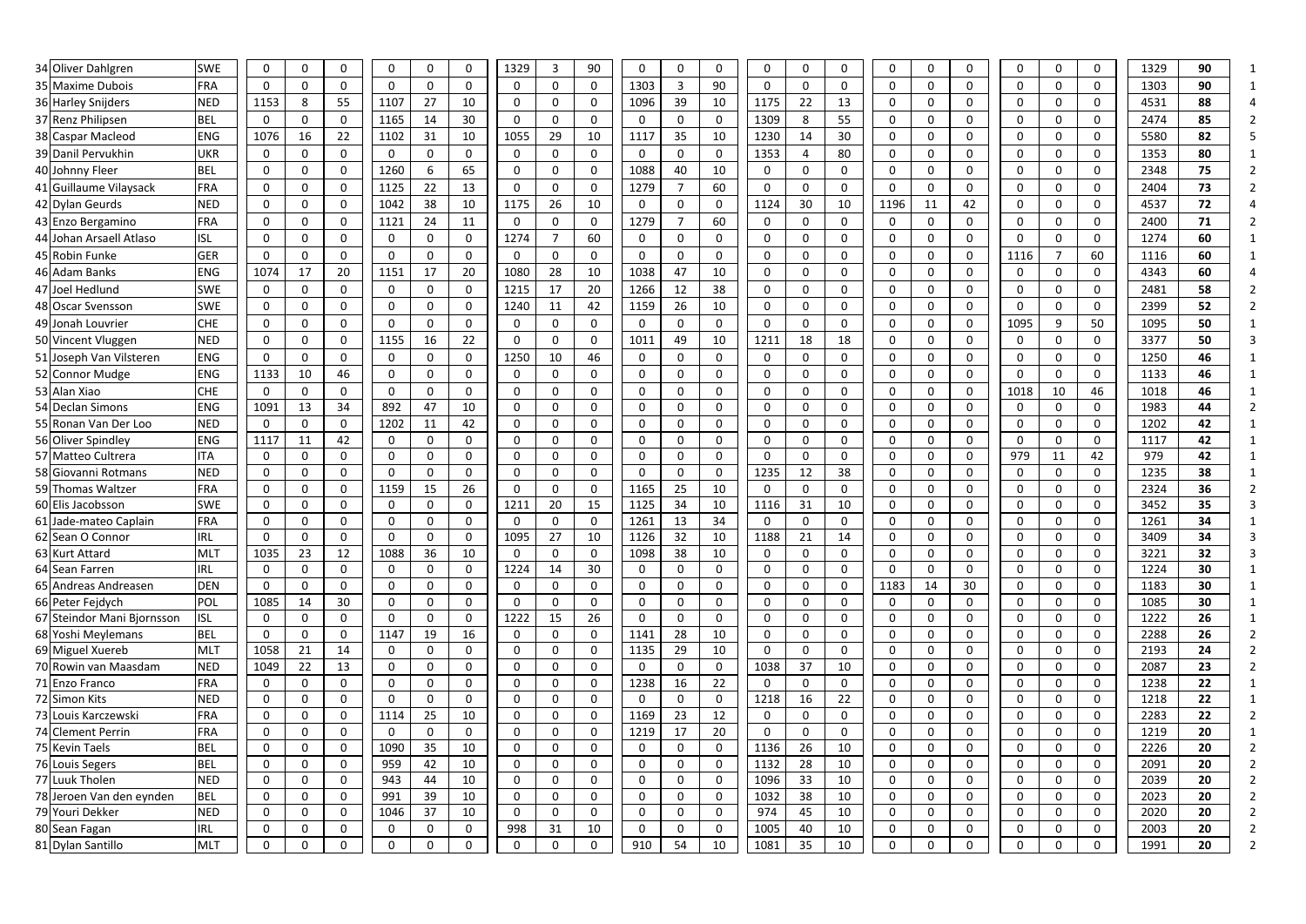| 34 Oliver Dahlgren |                            | <b>SWE</b>        | $\mathbf 0$                | 0            |                            | $\mathbf{0}$               | $\mathbf 0$                | $\mathbf{0}$               | 1329             | 3              | 90                | $\mathbf 0$                | $\mathbf{0}$ | $\mathbf{0}$                 | $\Omega$     | $\Omega$                   | 0           | $\mathbf{0}$ | $\mathbf{0}$               | $\mathbf{0}$     | $\mathbf{0}$               |          | $\mathbf{0}$                | 1329         | 90       |  |
|--------------------|----------------------------|-------------------|----------------------------|--------------|----------------------------|----------------------------|----------------------------|----------------------------|------------------|----------------|-------------------|----------------------------|--------------|------------------------------|--------------|----------------------------|-------------|--------------|----------------------------|------------------|----------------------------|----------|-----------------------------|--------------|----------|--|
|                    | 35 Maxime Dubois           | <b>FRA</b>        | 0                          | $\Omega$     | $\Omega$                   | 0                          | $\mathbf 0$                | 0                          | 0                |                | $\mathbf 0$       | 1303                       | 3            | 90                           | $\Omega$     | 0                          | 0           | 0            | $\Omega$                   | 0                | $\mathbf{0}$               |          | $\Omega$                    | 1303         | 90       |  |
| 36 Harley Snijders |                            | <b>NED</b>        | 1153                       | 8            | 55                         | 1107                       | 27                         | 10                         | 0                | 0              | 0                 | 1096                       | 39           | 10                           | 1175         | 22                         | 13          | 0            | $\Omega$                   | 0                | $\mathbf 0$                |          | $\Omega$                    | 4531         | 88       |  |
| 37 Renz Philipsen  |                            | <b>BEL</b>        | 0                          | 0            | 0                          | 1165                       | 14                         | 30                         | 0                | $\mathbf{0}$   | 0                 | $\mathbf 0$                | 0            | $\mathbf 0$                  | 1309         | 8                          | 55          | 0            | 0                          | 0                | 0                          |          | $\mathbf{0}$                | 2474         | 85       |  |
|                    | 38 Caspar Macleod          | <b>ENG</b>        | 1076                       | 16           | 22                         | 1102                       | 31                         | 10                         | 1055             | 29             | 10                | 1117                       | 35           | 10                           | 1230         | 14                         | 30          | 0            | $\Omega$                   | 0                | 0                          |          | $\mathbf{0}$                | 5580         | 82       |  |
|                    | 39 Danil Pervukhin         | <b>UKR</b>        | $\mathbf 0$                | 0            | $\mathbf{0}$               | $\mathbf 0$                | $\mathbf 0$                | $\mathbf 0$                | 0                | $\mathbf{0}$   | $\mathbf 0$       | $\mathbf 0$                | 0            | $\mathbf 0$                  | 1353         | $\overline{4}$             | 80          | 0            | $\mathbf{0}$               | $\mathbf 0$      | $\mathbf 0$                | $\Omega$ | $\mathbf{0}$                | 1353         | 80       |  |
| 40 Johnny Fleer    |                            | <b>BEL</b>        | 0                          | 0            | $\mathbf{0}$               | 1260                       | 6                          | 65                         | 0                | $\Omega$       | $\mathbf 0$       | 1088                       | 40           | 10                           | $\mathbf{0}$ | 0                          | 0           | 0            | $\Omega$                   | $\mathbf{0}$     | 0                          | 0        | $\mathbf{0}$                | 2348         | 75       |  |
|                    | 41 Guillaume Vilaysack     | FRA               | $\mathbf 0$                | $\Omega$     | $\Omega$                   | 1125                       | 22                         | 13                         | 0                | $\Omega$       | $\mathbf 0$       | 1279                       | 7            | 60                           | $\Omega$     | $\mathbf 0$                | 0           | 0            | $\Omega$                   | 0                | $\mathbf 0$                | $\Omega$ | $\Omega$                    | 2404         | 73       |  |
| 42 Dylan Geurds    |                            | <b>NED</b>        | 0                          | 0            | $\mathbf{0}$               | 1042                       | 38                         | 10                         | 1175             | 26             | 10                | $\mathbf 0$                | $\mathbf{0}$ | $\Omega$                     | 1124         | 30                         | 10          | 1196         | 11                         | 42               | $\mathbf{0}$               |          | $\Omega$                    | 4537         | 72       |  |
|                    | 43 Enzo Bergamino          | FRA               | 0                          | 0            | $\mathbf 0$                | 1121                       | 24                         | 11                         | 0                | $\mathbf{0}$   | $\mathbf 0$       | 1279                       | 7            | 60                           | 0            | $\mathbf 0$                | 0           | 0            | $\Omega$                   | 0                | $\mathbf 0$                | $\Omega$ | 0                           | 2400         | 71       |  |
|                    | 44 Johan Arsaell Atlaso    | <b>ISL</b>        | 0                          | 0            | 0                          | 0                          | $\mathbf 0$                | $\mathbf 0$                | 1274             |                | 60                | $\mathbf 0$                | 0            | $\mathbf 0$                  | 0            | $\mathbf 0$                | 0           | 0            | $\mathbf{0}$               | 0                | $\mathbf 0$                |          | $\mathbf{0}$                | 1274         | 60       |  |
| 45 Robin Funke     |                            | GER               | $\mathbf 0$                | 0            | $\mathbf 0$                | $\mathbf 0$                | $\mathbf 0$                | $\mathbf 0$                | 0                | $\Omega$       | $\mathbf 0$       | $\mathbf 0$                | 0            | $\Omega$                     | $\mathbf{0}$ | $\mathbf 0$                | $\mathbf 0$ | 0            | $\Omega$                   | $\mathsf{O}$     | 1116                       |          | 60                          | 1116         | 60       |  |
| 46 Adam Banks      |                            | <b>ENG</b>        | 1074                       | 17           | 20                         | 1151                       | 17                         | 20                         | 1080             | 28             | 10                | 1038                       | 47           | 10                           | $\mathbf{0}$ | $\mathbf 0$                | 0           | $\mathbf{0}$ | $\mathbf{0}$               | 0                | $\mathbf 0$                | $\Omega$ | $\mathbf{0}$                | 4343         | 60       |  |
| 47 Joel Hedlund    |                            | <b>SWE</b>        | 0                          | $\Omega$     | $\Omega$                   | 0                          | $\mathbf 0$                | $\mathbf 0$                | 1215             | 17             | 20                | 1266                       | 12           | 38                           | $\Omega$     | 0                          | 0           | 0            | $\Omega$                   | 0                | 0                          | 0        | $\Omega$                    | 2481         | 58       |  |
| 48 Oscar Svensson  |                            | <b>SWE</b>        | $\mathbf 0$                | $\Omega$     | $\Omega$                   | $\mathbf{0}$               | $\mathbf 0$                | $\mathbf 0$                | 1240             | 11             | 42                | 1159                       | 26           | 10                           | $\Omega$     | $\mathbf 0$                | 0           | 0            | $\Omega$                   | 0                | $\mathbf 0$                |          | $\Omega$                    | 2399         | 52       |  |
| 49 Jonah Louvrier  |                            | <b>CHE</b>        | 0                          | 0            | $\mathbf 0$                | 0                          | $\mathbf 0$                | 0                          | 0                |                | 0                 | $\mathbf 0$                | 0            | $\mathbf{0}$                 | $\mathbf{0}$ | $\mathbf 0$                | 0           | 0            | $\Omega$                   | 0                | 1095                       | 9        | 50                          | 1095         | 50       |  |
|                    | 50 Vincent Vluggen         | <b>NED</b>        | $\mathbf 0$                | 0            | 0                          | 1155                       | 16                         | 22                         | 0                | $\mathbf{0}$   | $\mathbf 0$       | 1011                       | 49           | 10                           | 1211         | 18                         | 18          | 0            | $\mathbf{0}$               | 0                | 0                          | $\Omega$ | 0                           | 3377         | 50       |  |
|                    | 51 Joseph Van Vilsteren    | <b>ENG</b>        | $\mathbf 0$                | 0            | $\mathbf 0$                | 0                          | $\mathbf 0$                | 0                          | 1250             | 10             | 46                | $\mathbf 0$                | 0            | $\mathbf 0$                  | $\mathbf{0}$ | $\mathbf 0$                | 0           | 0            | $\mathbf{0}$               | $\mathbf 0$      | 0                          | 0        | $\mathbf{0}$                | 1250         | 46       |  |
| 52 Connor Mudge    |                            | <b>ENG</b>        | 1133                       | 10           | 46                         | 0                          | $\mathbf 0$                | 0                          | 0                |                | 0                 | $\mathbf 0$                | $\mathbf{0}$ | $\Omega$                     | 0            | 0                          | 0           | 0            | $\Omega$                   | 0                | 0                          | 0        | 0                           | 1133         | 46       |  |
| 53 Alan Xiao       |                            | <b>CHE</b>        | $\mathbf 0$                | $\Omega$     | $\mathbf 0$                | 0                          | $\mathbf 0$                | $\mathbf{0}$               | 0                | $\Omega$       | $\mathbf 0$       | $\mathbf 0$                | $\mathbf{0}$ | $\Omega$                     | $\Omega$     | $\mathbf 0$                | 0           | 0            | $\Omega$                   | 0                | 1018                       | 10       | 46                          | 1018         | 46       |  |
| 54 Declan Simons   |                            | <b>ENG</b>        | 1091                       | 13           | 34                         | 892                        | 47                         | 10                         | 0                | $\Omega$       | 0                 | $\mathbf 0$                | $\Omega$     | $\mathbf{0}$                 | 0            | 0                          | 0           | 0            | 0                          | 0                | 0                          | 0        | $\Omega$                    | 1983         | 44       |  |
|                    | 55 Ronan Van Der Loo       | <b>NED</b>        | $\mathbf 0$                | 0            | $\mathbf 0$                | 1202                       | 11                         | 42                         | 0                | $\Omega$       | $\mathbf 0$       | $\mathbf 0$                | $\mathbf{0}$ | $\mathbf{0}$                 | $\Omega$     | $\mathbf 0$                | 0           | $\mathbf{0}$ | $\Omega$                   | $\mathbf 0$      | $\mathbf 0$                | $\Omega$ | 0                           | 1202         | 42       |  |
| 56 Oliver Spindley |                            | <b>ENG</b>        | 1117                       | 11           | 42                         | 0                          | $\mathbf{0}$               | $\mathbf 0$                | 0                | 0              | $\mathbf 0$       | $\mathbf 0$                | $\mathbf 0$  | $\mathbf{0}$                 | $\mathbf{0}$ | $\mathbf 0$                | 0           | $\mathbf 0$  | $\Omega$                   | 0                | 0                          | 0        | $\Omega$                    | 1117         | 42       |  |
|                    | 57 Matteo Cultrera         | <b>ITA</b>        | $\mathbf 0$                | 0            | $\mathbf 0$                | $\mathbf 0$                | $\mathbf 0$                | 0                          | 0                | 0              | $\mathbf 0$       | $\mathbf 0$                | 0            | $\mathbf{0}$                 | $\mathbf{0}$ | $\mathbf 0$                | 0           | 0            | 0                          | 0                | 979                        | 11       | 42                          | 979          | 42       |  |
|                    | 58 Giovanni Rotmans        | <b>NED</b>        | 0                          | 0            | $\mathbf 0$                | 0                          | $\mathbf 0$                | $\mathbf 0$                | 0                | 0              | 0                 | $\mathbf 0$                | $\mathbf 0$  | $\mathbf 0$                  | 1235         | 12                         | 38          | 0            | 0                          | 0                | 0                          | 0        | $\mathbf 0$                 | 1235         | 38       |  |
|                    | 59 Thomas Waltzer          | FRA               | $\mathbf 0$                | 0            | $\mathbf 0$                | 1159                       | 15                         | 26                         | $\Omega$         | $\mathbf 0$    | $\mathbf 0$       | 1165                       | 25           | 10                           | 0            | $\mathbf 0$                | 0           | 0            | $\mathbf 0$                | $\mathsf{O}$     | $\mathbf 0$                |          | $\mathbf{0}$                | 2324         | 36       |  |
| 60 Elis Jacobsson  |                            | <b>SWE</b>        | 0                          | 0            | $\mathbf 0$                | 0                          | $\mathbf 0$                | $\mathbf 0$                | 1211             | 20             | 15                | 1125                       | 34           | 10                           | 1116         | 31                         | 10          | 0            | $\mathbf{0}$               | 0                | $\mathbf 0$                | $\Omega$ | 0                           | 3452         | 35       |  |
|                    | 61 Jade-mateo Caplain      | FRA               | $\mathbf 0$                | 0            | $\mathbf 0$                | 0                          | $\mathbf 0$                | $\mathbf 0$                | 0                | $\Omega$       | $\mathbf 0$       | 1261                       | 13           | 34                           | $\Omega$     | 0                          | 0           | $\mathbf 0$  | $\Omega$                   | 0                | $\mathbf 0$                | O        | $\mathbf{0}$                | 1261         | 34       |  |
| 62 Sean O Connor   |                            | <b>IRL</b>        | 0                          | 0            | 0                          | 0                          | $\mathbf 0$                | $\mathbf 0$                | 1095             | 27             | 10                | 1126                       | 32           | 10                           | 1188         | 21                         | 14          | 0            | 0                          | 0                | 0                          |          | 0                           | 3409         | 34       |  |
| 63 Kurt Attard     |                            | ML <sup>1</sup>   | 1035                       | 23           | 12                         | 1088                       | 36                         | 10                         |                  |                | 0                 | 1098                       | 38           | 10                           | 0            | 0                          | 0           | 0            | 0                          | 0                |                            |          | 0                           | 3221         | 32       |  |
| 64 Sean Farren     |                            | IRL               | $\mathbf 0$                | $\mathbf{0}$ | $\mathbf{0}$               | $\mathbf 0$                | $\mathbf 0$                | $\mathbf 0$                | 1224             | 14             | 30                | $\mathbf 0$                | $\mathbf 0$  | $\mathbf{0}$                 | $\mathbf{0}$ | $\mathbf 0$                | 0           | $\mathbf 0$  | $\Omega$                   | $\mathsf{O}$     | $\mathbf 0$                | $\Omega$ | $\mathbf{0}$                | 1224         | 30       |  |
|                    | 65 Andreas Andreasen       | <b>DEN</b>        | 0                          | 0            | $\Omega$                   | 0                          | $\mathbf 0$                | 0                          | 0                |                | 0                 | $\mathbf 0$                | $\mathbf{0}$ | 0                            | 0            | 0                          | 0           | 1183         | 14                         | 30               | $\mathbf 0$                |          | $\mathbf 0$                 | 1183         | 30       |  |
| 66 Peter Fejdych   | 67 Steindor Mani Bjornsson | POL<br><b>ISL</b> | 1085                       | 14           | 30                         | $\mathbf 0$<br>$\mathbf 0$ | $\mathbf 0$<br>$\mathbf 0$ | $\mathbf 0$<br>$\mathbf 0$ | $\Omega$<br>1222 | $\Omega$<br>15 | $\mathbf 0$<br>26 | $\mathbf 0$<br>$\mathbf 0$ | $\mathbf 0$  | $\mathbf{0}$<br>$\mathsf{O}$ | $\mathbf 0$  | $\mathbf 0$<br>$\mathbf 0$ | 0           | $\mathbf 0$  | $\mathbf 0$                | $\mathbf 0$<br>0 | $\mathbf 0$                | 0        | $\mathbf{0}$<br>$\mathbf 0$ | 1085<br>1222 | 30<br>26 |  |
|                    | 68 Yoshi Meylemans         | <b>BEL</b>        | $\mathbf 0$<br>$\mathbf 0$ | 0<br>0       | $\mathbf 0$<br>$\mathbf 0$ | 1147                       | 19                         | 16                         | $\mathbf 0$      | 0              | $\mathbf 0$       | 1141                       | 0<br>28      | 10                           | 0<br>0       | $\mathbf 0$                | 0<br>0      | 0<br>0       | $\mathbf 0$<br>$\mathbf 0$ | $\mathsf{O}$     | $\mathbf 0$<br>$\mathbf 0$ | 0<br>0   | $\mathbf 0$                 | 2288         | 26       |  |
| 69 Miguel Xuereb   |                            | <b>MLT</b>        | 1058                       | 21           | 14                         | $\mathbf 0$                | $\mathbf 0$                | $\mathbf 0$                | 0                | 0              | $\mathbf 0$       | 1135                       | 29           | 10                           | 0            | $\mathbf 0$                | $\mathbf 0$ | 0            | 0                          | 0                | $\mathbf 0$                | 0        | $\mathbf 0$                 | 2193         | 24       |  |
|                    | 70 Rowin van Maasdam       | <b>NED</b>        | 1049                       | 22           | 13                         | $\mathbf{0}$               | $\mathbf 0$                | $\mathbf 0$                | 0                | 0              | $\mathbf 0$       | $\mathbf 0$                | $\mathbf 0$  | $\mathbf 0$                  | 1038         | 37                         | 10          | $\mathbf 0$  | $\mathbf 0$                | $\mathbf 0$      | $\mathbf 0$                | 0        | $\mathbf 0$                 | 2087         | 23       |  |
| 71 Enzo Franco     |                            | FRA               | $\mathbf 0$                | 0            | $\mathbf 0$                | 0                          | $\mathbf 0$                | $\mathbf 0$                | 0                | $\mathbf 0$    | $\mathbf 0$       | 1238                       | 16           | 22                           | $\mathbf 0$  | $\mathsf{O}$               | 0           | 0            | 0                          | $\mathbf 0$      | $\mathbf 0$                | 0        | $\mathbf 0$                 | 1238         | 22       |  |
| 72 Simon Kits      |                            | <b>NED</b>        | $\mathbf 0$                | 0            | $\mathbf 0$                | $\mathsf{O}$               | $\mathbf 0$                | $\mathbf 0$                | 0                | $\mathbf 0$    | $\mathbf 0$       | $\mathbf 0$                | $\mathbf 0$  | $\mathbf 0$                  | 1218         | 16                         | 22          | $\mathbf 0$  | $\mathbf{0}$               | $\mathbf 0$      | $\mathbf 0$                | 0        | $\mathbf 0$                 | 1218         | 22       |  |
|                    | 73 Louis Karczewski        | FRA               | $\mathbf 0$                | $\mathbf 0$  | $\mathbf 0$                | 1114                       | 25                         | 10                         | 0                | $\mathbf 0$    | $\mathbf 0$       | 1169                       | 23           | 12                           | $\mathbf 0$  | 0                          | 0           | $\mathbf 0$  | 0                          | $\mathbf 0$      | $\mathbf 0$                |          | $\mathbf 0$                 | 2283         | 22       |  |
| 74 Clement Perrin  |                            | FRA               | $\mathbf 0$                | 0            | $\mathbf 0$                | $\mathbf 0$                | $\mathbf 0$                | $\mathbf 0$                | $\mathbf 0$      | $\mathbf{0}$   | $\mathbf 0$       | 1219                       | 17           | 20                           | $\mathbf 0$  | $\mathbf 0$                | 0           | $\mathbf 0$  | $\mathbf 0$                | $\mathbf 0$      | $\mathbf 0$                | 0        | $\mathbf 0$                 | 1219         | 20       |  |
| 75 Kevin Taels     |                            | <b>BEL</b>        | $\mathsf{O}$               | 0            | $\mathbf 0$                | 1090                       | 35                         | 10                         | 0                | $\mathbf 0$    | $\mathbf 0$       | $\mathbf 0$                | $\mathbf 0$  | $\mathbf 0$                  | 1136         | 26                         | 10          | 0            | 0                          | $\mathbf 0$      | $\mathbf 0$                |          | $\mathbf 0$                 | 2226         | 20       |  |
| 76 Louis Segers    |                            | <b>BEL</b>        | $\mathbf 0$                | 0            | $\mathbf{0}$               | 959                        | 42                         | 10                         | $\mathbf{0}$     | $\Omega$       | 0                 | $\mathbf 0$                | $\mathbf 0$  | $\mathbf 0$                  | 1132         | 28                         | 10          | $\mathbf 0$  | $\mathbf{0}$               | $\mathsf{O}$     | 0                          | 0        | $\mathbf 0$                 | 2091         | 20       |  |
| 77 Luuk Tholen     |                            | <b>NED</b>        | $\mathbf 0$                | 0            | $\mathbf{0}$               | 943                        | 44                         | 10                         | $\mathbf{0}$     | $\mathbf{0}$   | $\mathbf 0$       | $\mathbf 0$                | $\mathbf 0$  | $\mathbf 0$                  | 1096         | 33                         | 10          | $\mathbf 0$  | $\mathbf{0}$               | $\mathsf{O}$     | $\mathbf 0$                | $\Omega$ | $\mathbf 0$                 | 2039         | 20       |  |
|                    | 78 Jeroen Van den eynden   | <b>BEL</b>        | $\mathbf 0$                | 0            | $\Omega$                   | 991                        | 39                         | 10                         | 0                | $\Omega$       | 0                 | $\mathbf 0$                | $\mathbf{0}$ | $\mathbf 0$                  | 1032         | 38                         | 10          | 0            | $\Omega$                   | $\mathsf{O}$     | 0                          |          | $\mathbf 0$                 | 2023         | 20       |  |
| 79 Youri Dekker    |                            | <b>NED</b>        | $\mathbf 0$                | 0            | $\mathbf{0}$               | 1046                       | 37                         | 10                         | $\Omega$         | $\Omega$       | $\mathbf 0$       | $\mathbf 0$                | $\mathbf 0$  | $\mathbf 0$                  | 974          | 45                         | 10          | $\mathbf 0$  | $\Omega$                   | $\mathbf 0$      | $\mathbf 0$                | 0        | $\mathbf{0}$                | 2020         | 20       |  |
| 80 Sean Fagan      |                            | <b>IRL</b>        | 0                          | 0            | 0                          | 0                          | $\mathbf 0$                | $\mathbf 0$                | 998              | 31             | 10                | $\mathbf 0$                | 0            | $\mathbf 0$                  | 1005         | 40                         | 10          | 0            | 0                          | 0                | 0                          | 0        | $\mathbf 0$                 | 2003         | 20       |  |
| 81 Dylan Santillo  |                            | <b>MLT</b>        | $\mathbf 0$                | 0            | 0                          | $\mathbf 0$                | $\mathbf 0$                | 0                          | 0                | 0              | $\mathbf 0$       | 910                        | 54           | 10                           | 1081         | 35                         | 10          | 0            | 0                          | 0                | $\mathbf 0$                | 0        | $\mathbf 0$                 | 1991         | 20       |  |